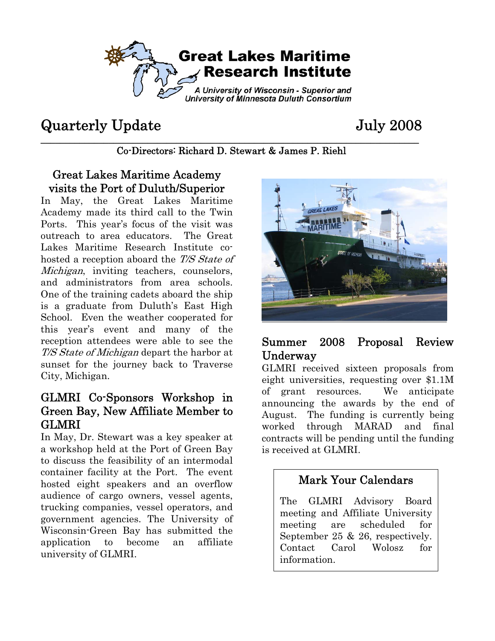

# Quarterly Update July 2008

**\_\_\_\_\_\_\_\_\_\_\_\_\_\_\_\_\_\_\_\_\_\_\_\_\_\_\_\_\_\_\_\_\_\_\_\_\_\_\_\_\_\_\_\_\_\_\_\_\_\_\_\_\_\_\_\_\_\_\_\_\_\_\_\_\_\_\_\_\_\_\_\_\_\_\_\_\_\_**  Co-Directors: Richard D. Stewart & James P. Riehl

#### Great Lakes Maritime Academy visits the Port of Duluth/Superior

In May, the Great Lakes Maritime Academy made its third call to the Twin Ports. This year's focus of the visit was outreach to area educators. The Great Lakes Maritime Research Institute cohosted a reception aboard the T/S State of Michigan, inviting teachers, counselors, and administrators from area schools. One of the training cadets aboard the ship is a graduate from Duluth's East High School. Even the weather cooperated for this year's event and many of the reception attendees were able to see the T/S State of Michigan depart the harbor at sunset for the journey back to Traverse City, Michigan.

## GLMRI Co-Sponsors Workshop in Green Bay, New Affiliate Member to GLMRI

In May, Dr. Stewart was a key speaker at a workshop held at the Port of Green Bay to discuss the feasibility of an intermodal container facility at the Port. The event hosted eight speakers and an overflow audience of cargo owners, vessel agents, trucking companies, vessel operators, and government agencies. The University of Wisconsin-Green Bay has submitted the application to become an affiliate university of GLMRI.



#### Summer 2008 Proposal Review Underway

GLMRI received sixteen proposals from eight universities, requesting over \$1.1M of grant resources. We anticipate announcing the awards by the end of August. The funding is currently being worked through MARAD and final contracts will be pending until the funding is received at GLMRI.

## Mark Your Calendars

The GLMRI Advisory Board meeting and Affiliate University meeting are scheduled for September 25 & 26, respectively. Contact Carol Wolosz for information.